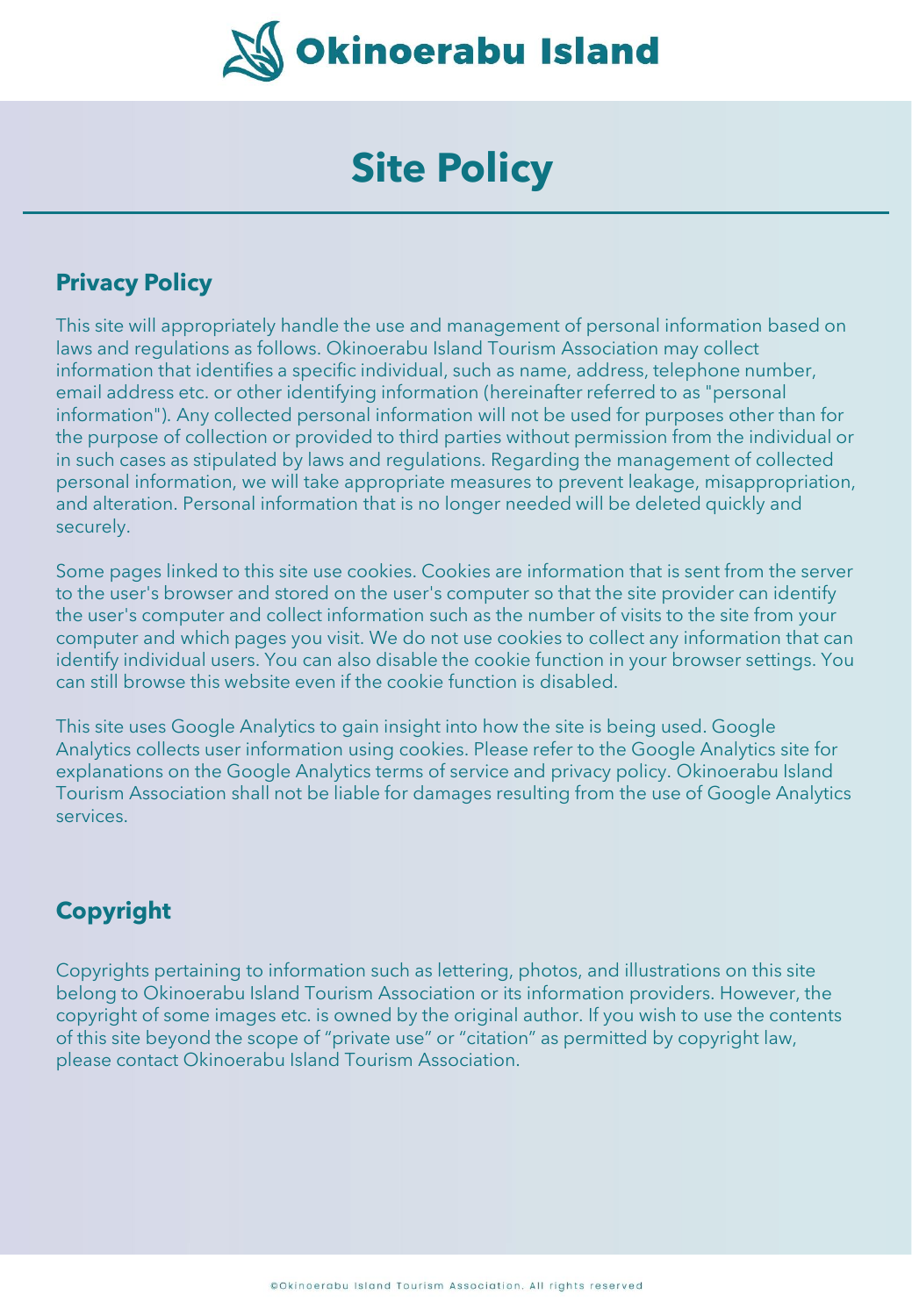

## **Site Policy**

## **Privacy Policy**

This site will appropriately handle the use and management of personal information based on laws and regulations as follows. Okinoerabu Island Tourism Association may collect information that identifies a specific individual, such as name, address, telephone number, email address etc. or other identifying information (hereinafter referred to as "personal information"). Any collected personal information will not be used for purposes other than for the purpose of collection or provided to third parties without permission from the individual or in such cases as stipulated by laws and regulations. Regarding the management of collected personal information, we will take appropriate measures to prevent leakage, misappropriation, and alteration. Personal information that is no longer needed will be deleted quickly and securely.

Some pages linked to this site use cookies. Cookies are information that is sent from the server to the user's browser and stored on the user's computer so that the site provider can identify the user's computer and collect information such as the number of visits to the site from your computer and which pages you visit. We do not use cookies to collect any information that can identify individual users. You can also disable the cookie function in your browser settings. You can still browse this website even if the cookie function is disabled.

This site uses Google Analytics to gain insight into how the site is being used. Google Analytics collects user information using cookies. Please refer to the Google Analytics site for explanations on the Google Analytics terms of service and privacy policy. Okinoerabu Island Tourism Association shall not be liable for damages resulting from the use of Google Analytics services.

## **Copyright**

Copyrights pertaining to information such as lettering, photos, and illustrations on this site belong to Okinoerabu Island Tourism Association or its information providers. However, the copyright of some images etc. is owned by the original author. If you wish to use the contents of this site beyond the scope of "private use" or "citation" as permitted by copyright law, please contact Okinoerabu Island Tourism Association.